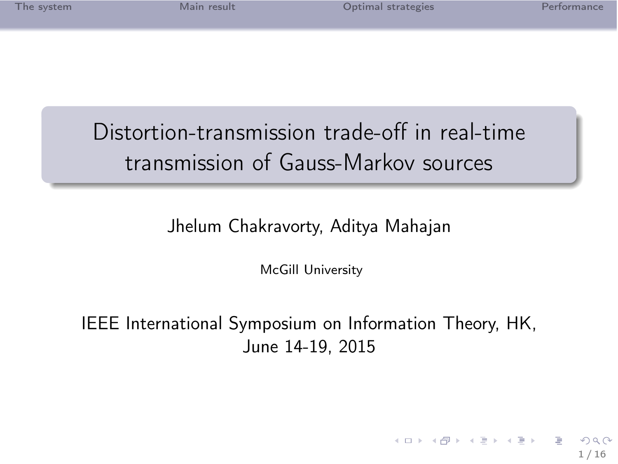| The system |  |  |  |  |
|------------|--|--|--|--|
|            |  |  |  |  |
|            |  |  |  |  |
|            |  |  |  |  |

1 / 16

 $\Omega$ 

K ロ > K d > K 호 > K 호 > H 호

# Distortion-transmission trade-off in real-time transmission of Gauss-Markov sources

### Jhelum Chakravorty, Aditya Mahajan

McGill University

IEEE International Symposium on Information Theory, HK, June 14-19, 2015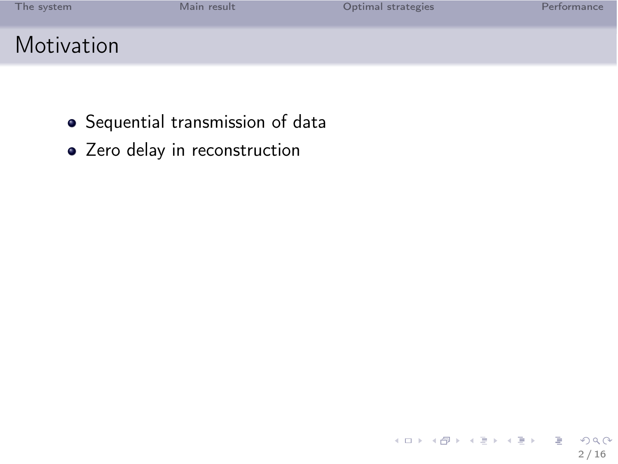| The system | Main result | Optimal strategies | Performance |
|------------|-------------|--------------------|-------------|
| Motivation |             |                    |             |

- Sequential transmission of data
- Zero delay in reconstruction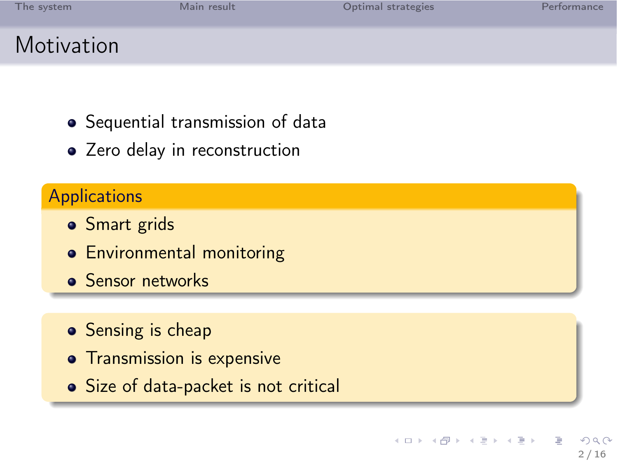| The system | Main result | Optimal strategies | Performance |
|------------|-------------|--------------------|-------------|
| Motivation |             |                    |             |

- Sequential transmission of data
- Zero delay in reconstruction

### **Applications**

- Smart grids
- **•** Environmental monitoring
- **Sensor networks**
- Sensing is cheap
- **•** Transmission is expensive
- Size of data-packet is not critical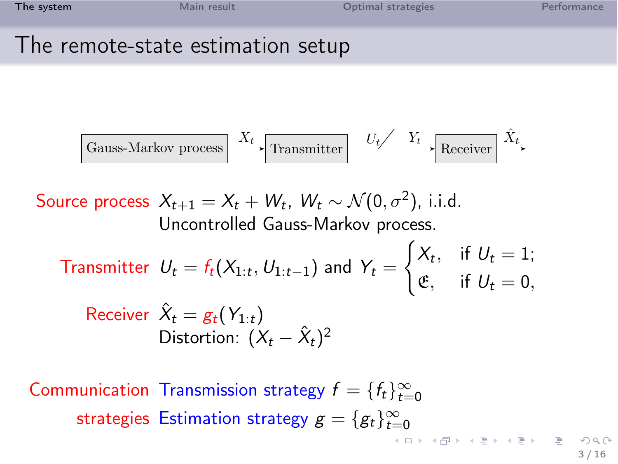| The system                        | Main result | Optimal strategies | Performance |
|-----------------------------------|-------------|--------------------|-------------|
| The remote-state estimation setup |             |                    |             |

$$
\fbox{Gauss-Markov process} \xrightarrow{X_t} \fbox{Transmitter} \xrightarrow{U_t} \fbox{Receiver} \xrightarrow{\hat{X}_t}
$$

Source process  $X_{t+1} = X_t + W_t$ ,  $W_t \sim \mathcal{N}(0, \sigma^2)$ , i.i.d. Uncontrolled Gauss-Markov process.

Transmitter  $U_t = f_t(X_{1:t}, U_{1:t-1})$  and  $Y_t =$  $\int X_t$ , if  $U_t = 1$ ;  $\mathfrak{E}$ , if  $U_t = 0$ ,

Receiver 
$$
\hat{X}_t = g_t(Y_{1:t})
$$
  
Distortion:  $(X_t - \hat{X}_t)^2$ 

Communication Transmission strategy  $f = \{f_t\}_{t=0}^{\infty}$ strategies Estimation strategy  $g = \{g_t\}_{t=0}^\infty$ 

<span id="page-3-0"></span>3 / 16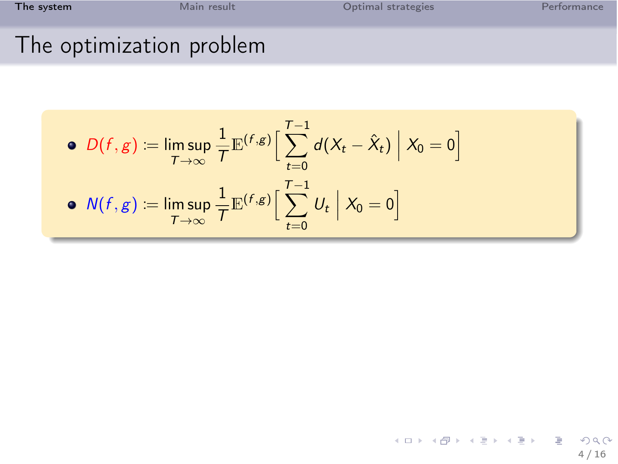| The system               | Main result | Optimal strategies | Performance |
|--------------------------|-------------|--------------------|-------------|
| The optimization problem |             |                    |             |

### The optimization problem

\n- \n
$$
D(f, g) := \limsup_{T \to \infty} \frac{1}{T} \mathbb{E}^{(f, g)} \Big[ \sum_{t=0}^{T-1} d(X_t - \hat{X}_t) \Big| X_0 = 0 \Big]
$$
\n
\n- \n
$$
N(f, g) := \limsup_{T \to \infty} \frac{1}{T} \mathbb{E}^{(f, g)} \Big[ \sum_{t=0}^{T-1} U_t \Big| X_0 = 0 \Big]
$$
\n
\n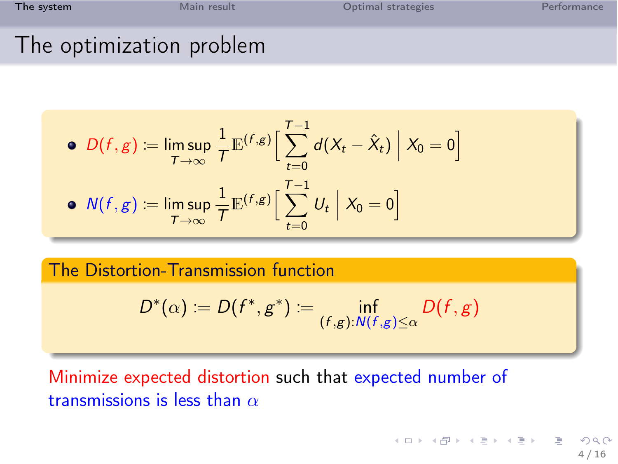| The system               | Main result | Optimal strategies | Performance |
|--------------------------|-------------|--------------------|-------------|
| The optimization problem |             |                    |             |

### The optimization problem

$$
\begin{aligned}\n\bullet \ D(f,g) &:= \limsup_{T \to \infty} \frac{1}{T} \mathbb{E}^{(f,g)} \Big[ \sum_{t=0}^{T-1} d(X_t - \hat{X}_t) \Big| \ X_0 = 0 \Big] \\
\bullet \ N(f,g) &:= \limsup_{T \to \infty} \frac{1}{T} \mathbb{E}^{(f,g)} \Big[ \sum_{t=0}^{T-1} U_t \Big| \ X_0 = 0 \Big]\n\end{aligned}
$$

The Distortion-Transmission function

$$
D^*(\alpha) := D(f^*, g^*) := \inf_{(f,g): N(f,g) \leq \alpha} D(f,g)
$$

Minimize expected distortion such that expected number of transmissions is less than  $\alpha$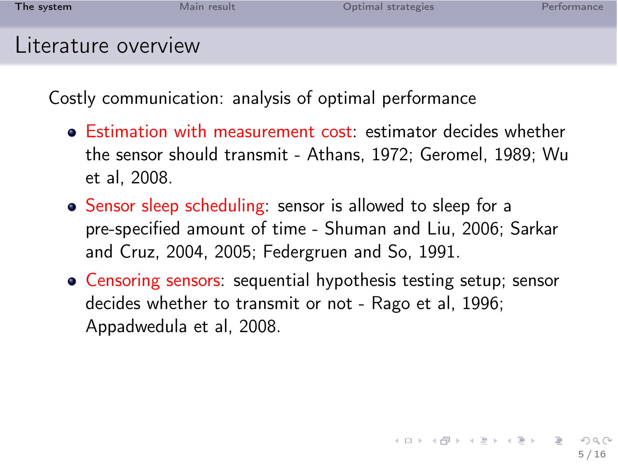| The system          | Main result | Optimal strategies | Performance |
|---------------------|-------------|--------------------|-------------|
| Literature overview |             |                    |             |

Costly communication: analysis of optimal performance

- Estimation with measurement cost: estimator decides whether the sensor should transmit - Athans, 1972; Geromel, 1989; Wu et al, 2008.
- Sensor sleep scheduling: sensor is allowed to sleep for a pre-specified amount of time - Shuman and Liu, 2006; Sarkar and Cruz, 2004, 2005; Federgruen and So, 1991.
- Censoring sensors: sequential hypothesis testing setup; sensor decides whether to transmit or not - Rago et al, 1996; Appadwedula et al, 2008.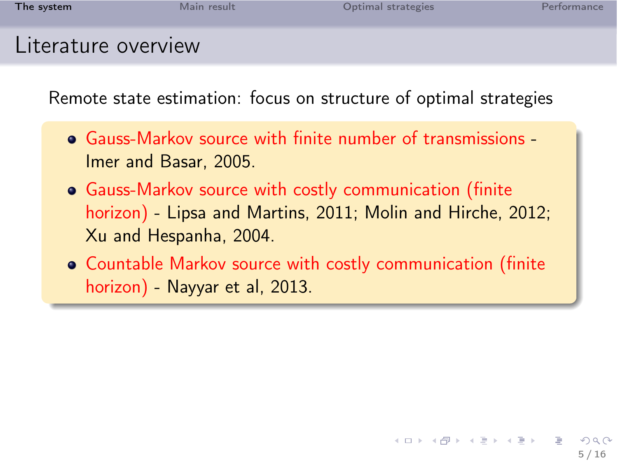| The system          | Main result | Optimal strategies | Performance |
|---------------------|-------------|--------------------|-------------|
| Literature overview |             |                    |             |

Remote state estimation: focus on structure of optimal strategies

- Gauss-Markov source with finite number of transmissions Imer and Basar, 2005.
- Gauss-Markov source with costly communication (finite horizon) - Lipsa and Martins, 2011; Molin and Hirche, 2012; Xu and Hespanha, 2004.
- Countable Markov source with costly communication (finite horizon) - Nayyar et al, 2013.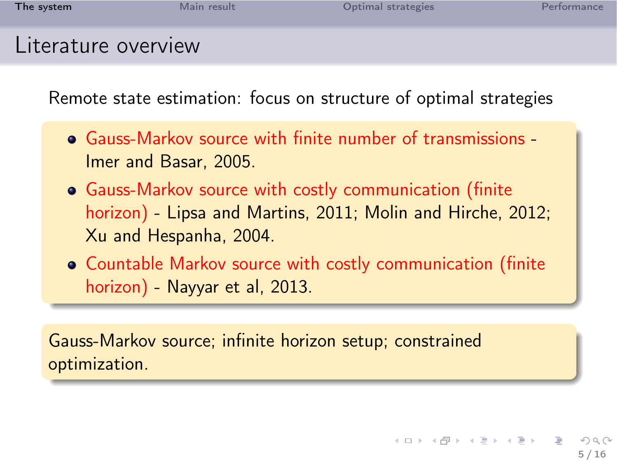| The system          | Main result | Optimal strategies | Performance |
|---------------------|-------------|--------------------|-------------|
| Literature overview |             |                    |             |

Remote state estimation: focus on structure of optimal strategies

- Gauss-Markov source with finite number of transmissions Imer and Basar, 2005.
- Gauss-Markov source with costly communication (finite horizon) - Lipsa and Martins, 2011; Molin and Hirche, 2012; Xu and Hespanha, 2004.
- Countable Markov source with costly communication (finite horizon) - Nayyar et al, 2013.

Gauss-Markov source; infinite horizon setup; constrained optimization.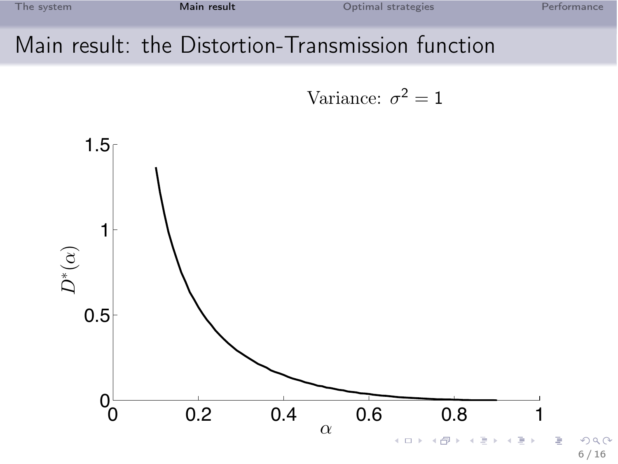### Main result: the Distortion-Transmission function

<span id="page-9-0"></span>Variance:  $\sigma^2 = 1$ 

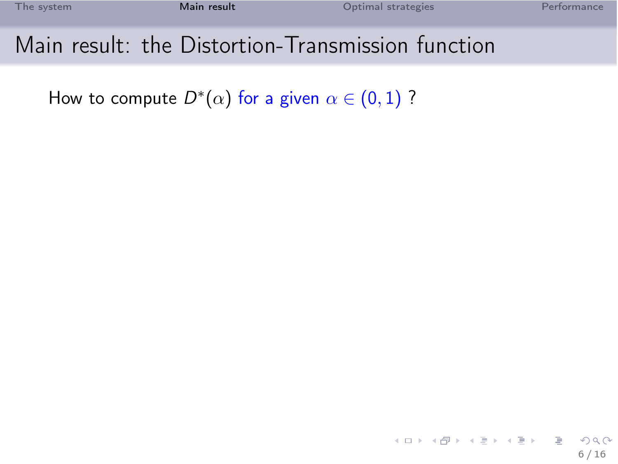### Main result: the Distortion-Transmission function

How to compute  $D^*(\alpha)$  for a given  $\alpha\in(0,1)$  ?

イロト イ団 トイミト イミト ニミー りんぐ 6 / 16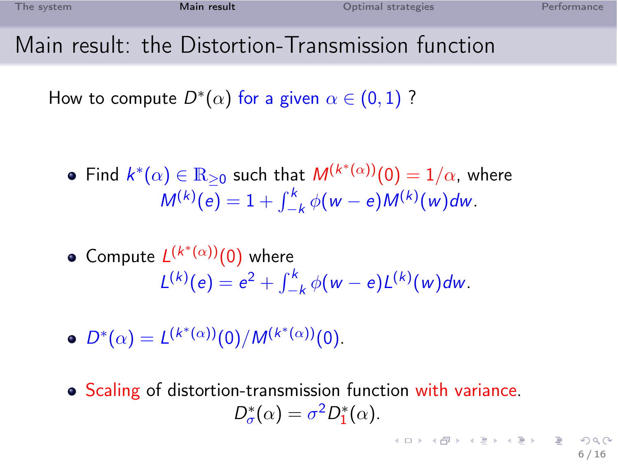### Main result: the Distortion-Transmission function

How to compute  $D^*(\alpha)$  for a given  $\alpha\in(0,1)$  ?

• Find 
$$
k^*(\alpha) \in \mathbb{R}_{\geq 0}
$$
 such that  $M^{(k^*(\alpha))}(0) = 1/\alpha$ , where  

$$
M^{(k)}(e) = 1 + \int_{-k}^{k} \phi(w - e)M^{(k)}(w)dw.
$$

• Compute 
$$
L^{(k^*(\alpha))}(0)
$$
 where  

$$
L^{(k)}(e) = e^2 + \int_{-k}^{k} \phi(w - e) L^{(k)}(w) dw.
$$

- $D^*(\alpha) = L^{(k^*(\alpha))}(0)/M^{(k^*(\alpha))}(0).$
- Scaling of distortion-transmission function with variance.  $D_{\sigma}^{*}(\alpha) = \sigma^{2} D_{1}^{*}(\alpha).$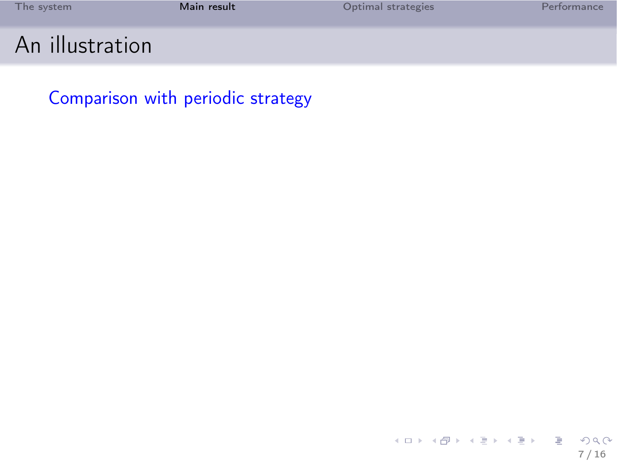| The system      | Main result | Optimal strategies | Performance |
|-----------------|-------------|--------------------|-------------|
| An illustration |             |                    |             |

Comparison with periodic strategy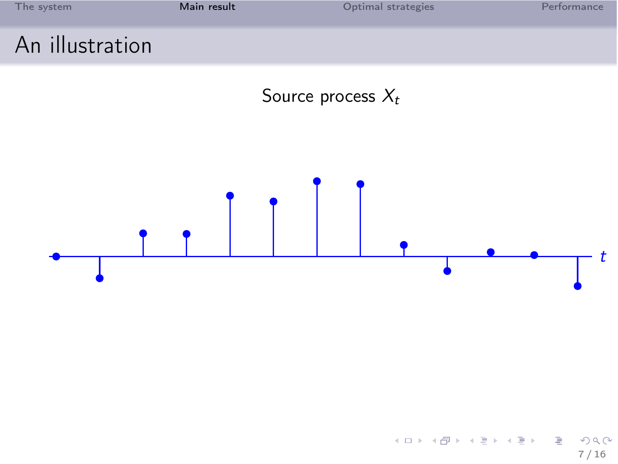<span id="page-13-0"></span>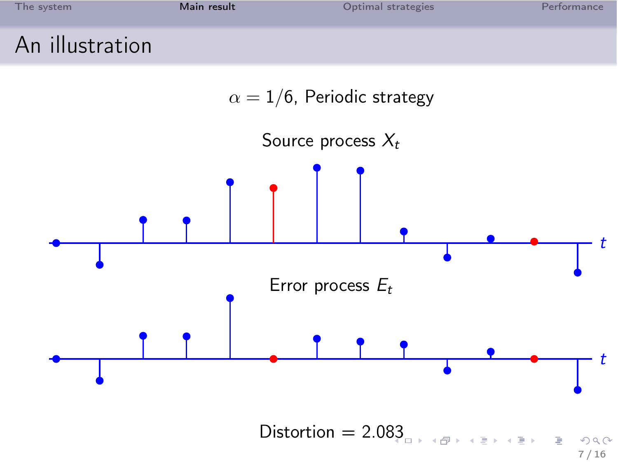<span id="page-14-0"></span>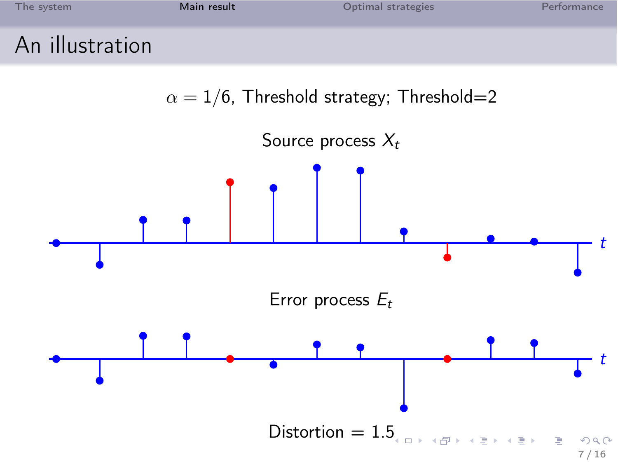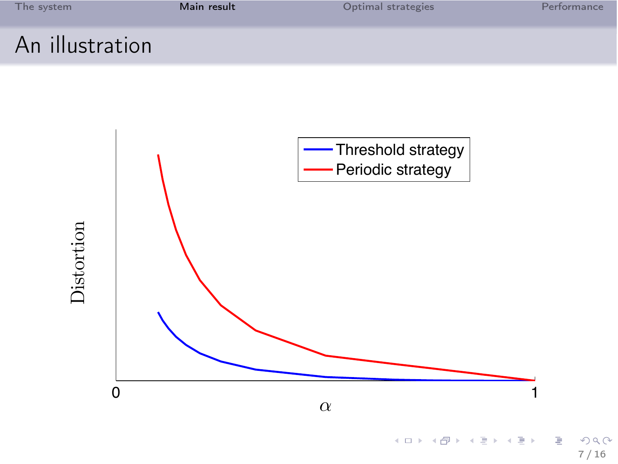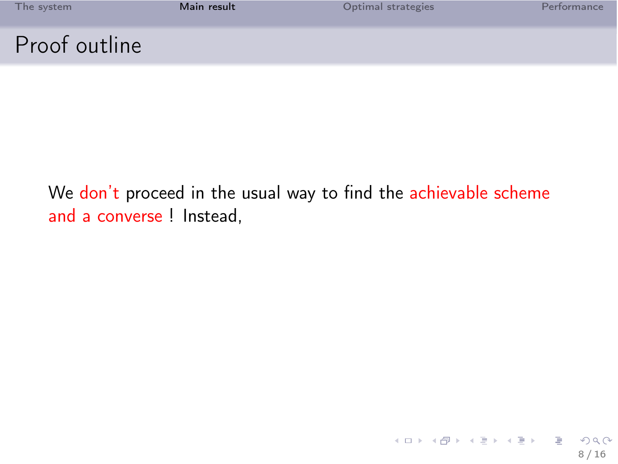| The system    | Main result | Optimal strategies | Performance |
|---------------|-------------|--------------------|-------------|
| Proof outline |             |                    |             |

### We don't proceed in the usual way to find the achievable scheme and a converse ! Instead,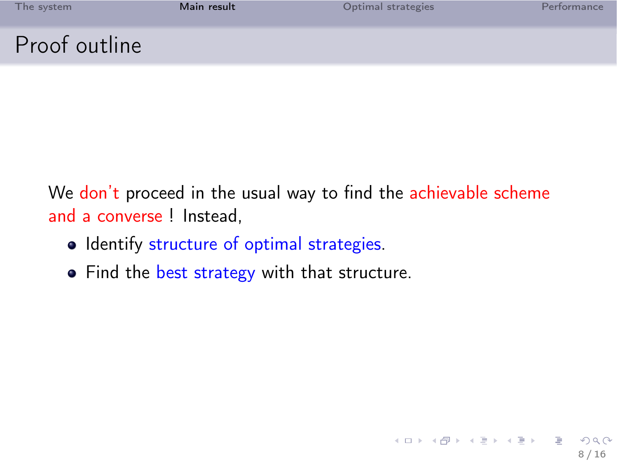|  | The system |  |  |
|--|------------|--|--|
|  |            |  |  |

8 / 16

 $\Omega$ 

B

지다 자세한 지수는 지금이

### Proof outline

We don't proceed in the usual way to find the achievable scheme and a converse ! Instead,

- Identify structure of optimal strategies.
- Find the best strategy with that structure.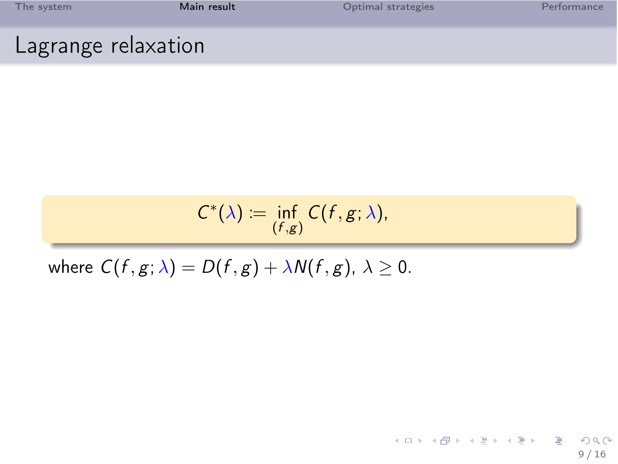| The system          | Main result | Optimal strategies | Performance |
|---------------------|-------------|--------------------|-------------|
| Lagrange relaxation |             |                    |             |

$$
C^*(\lambda) := \inf_{(f,g)} C(f,g;\lambda),
$$

where  $C(f, g; \lambda) = D(f, g) + \lambda N(f, g)$ ,  $\lambda \geq 0$ .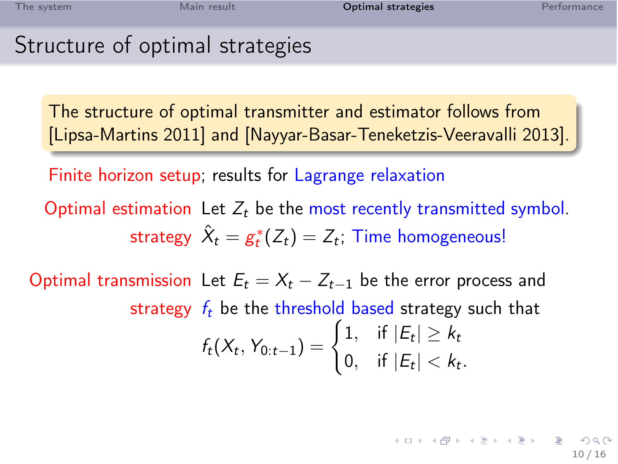### Structure of optimal strategies

The structure of optimal transmitter and estimator follows from [Lipsa-Martins 2011] and [Nayyar-Basar-Teneketzis-Veeravalli 2013].

Finite horizon setup; results for Lagrange relaxation

Optimal estimation Let  $Z_t$  be the most recently transmitted symbol. strategy  $\hat{X}_t = g_t^*(Z_t) = Z_t$ ; Time homogeneous!

<span id="page-20-0"></span>Optimal transmission Let  $E_t = X_t - Z_{t-1}$  be the error process and strategy  $f_t$  be the threshold based strategy such that  $f_t(X_t, Y_{0:t-1}) = \begin{cases} 1, & \text{if } |E_t| \geq k_t \\ 0, & \text{if } |E_t| > l_t \end{cases}$ 0, if  $|E_t| < k_t$ .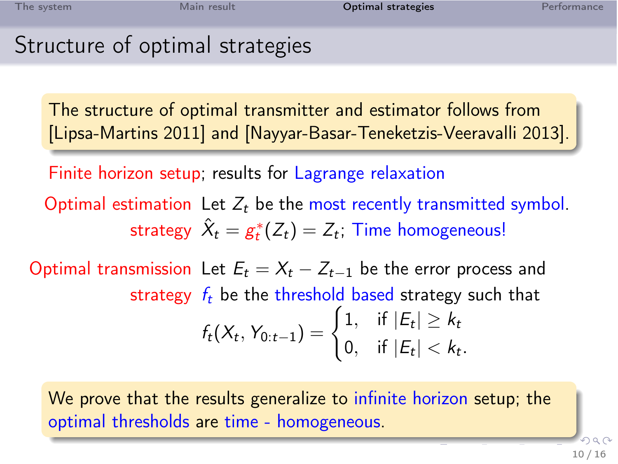### Structure of optimal strategies

The structure of optimal transmitter and estimator follows from [Lipsa-Martins 2011] and [Nayyar-Basar-Teneketzis-Veeravalli 2013].

Finite horizon setup; results for Lagrange relaxation

Optimal estimation Let  $Z_t$  be the most recently transmitted symbol. strategy  $\hat{X}_t = g_t^*(Z_t) = Z_t$ ; Time homogeneous!

Optimal transmission Let  $E_t = X_t - Z_{t-1}$  be the error process and strategy  $f_t$  be the threshold based strategy such that  $f_t(X_t, Y_{0:t-1}) = \begin{cases} 1, & \text{if } |E_t| \geq k_t \\ 0, & \text{if } |E_t| > l_t \end{cases}$ 0, if  $|E_t| < k_t$ .

We prove that the results generalize to infinite horizon setup; the optimal thresholds are time - homogeneous.

> <span id="page-21-0"></span> $\Omega$ 10 / 16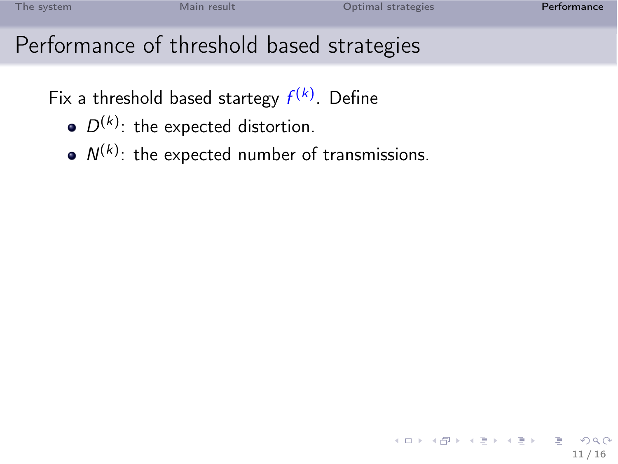## Performance of threshold based strategies

Fix a threshold based startegy  $f^{(k)}$ . Define

- $D^{(k)}$ : the expected distortion.
- <span id="page-22-0"></span> $N^{(k)}$ : the expected number of transmissions.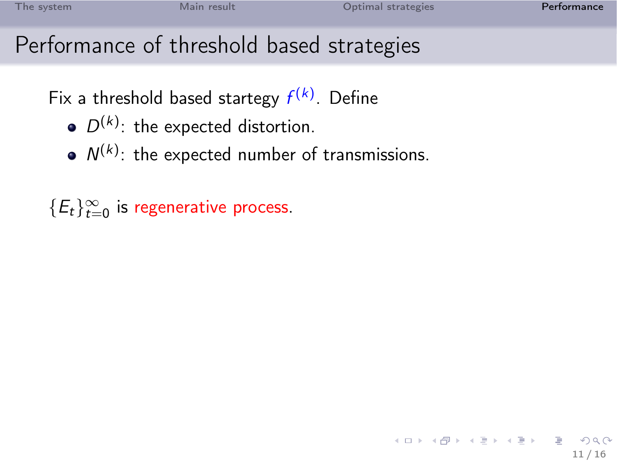<span id="page-23-0"></span>11 / 16

K ロ ▶ K @ ▶ K 할 ▶ K 할 ▶ ... 할 ... 900

## Performance of threshold based strategies

Fix a threshold based startegy  $f^{(k)}$ . Define

- $D^{(k)}$ : the expected distortion.
- $N^{(k)}$ : the expected number of transmissions.

 $\{E_t\}_{t=0}^\infty$  is regenerative process.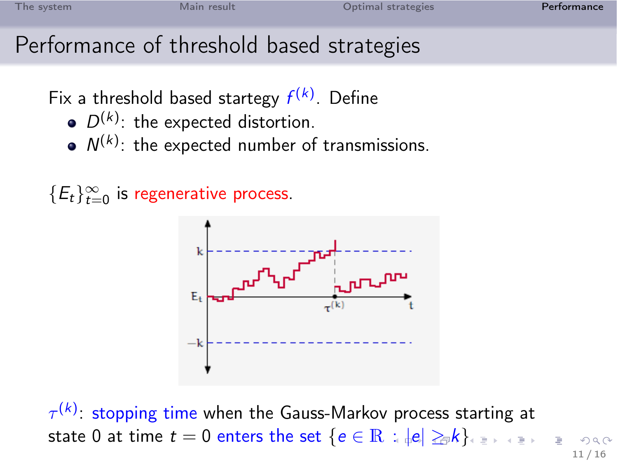## Performance of threshold based strategies

Fix a threshold based startegy  $f^{(k)}$ . Define

- $D^{(k)}$ : the expected distortion.
- $N^{(k)}$ : the expected number of transmissions.

 $\{E_t\}_{t=0}^\infty$  is regenerative process.



 $\tau^{(k)}$ : stopping time when the Gauss-Markov process starting at state 0 at time  $t = 0$  enters the set  $\{e \in \mathbb{R} : |e| \geq_{\mathbb{R}} k\}_{e \geq 0}$  $\{e \in \mathbb{R} : |e| \geq_{\mathbb{R}} k\}_{e \geq 0}$  $\{e \in \mathbb{R} : |e| \geq_{\mathbb{R}} k\}_{e \geq 0}$  $\{e \in \mathbb{R} : |e| \geq_{\mathbb{R}} k\}_{e \geq 0}$  $\{e \in \mathbb{R} : |e| \geq_{\mathbb{R}} k\}_{e \geq 0}$  $\{e \in \mathbb{R} : |e| \geq_{\mathbb{R}} k\}_{e \geq 0}$  $\{e \in \mathbb{R} : |e| \geq_{\mathbb{R}} k\}_{e \geq 0}$  $\{e \in \mathbb{R} : |e| \geq_{\mathbb{R}} k\}_{e \geq 0}$  $\{e \in \mathbb{R} : |e| \geq_{\mathbb{R}} k\}_{e \geq 0}$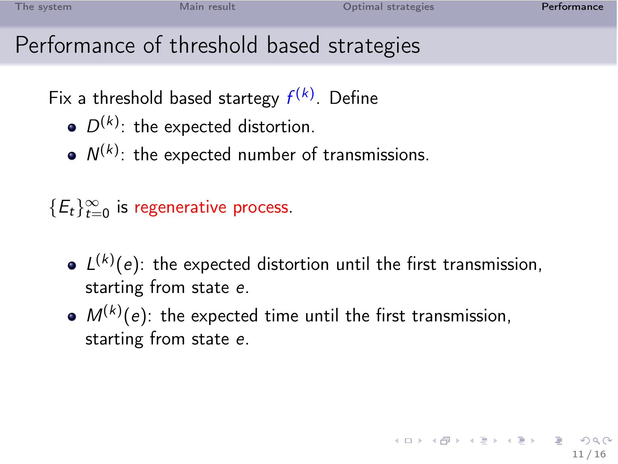<span id="page-25-0"></span>11 / 16

K ロ ▶ K @ ▶ K 할 ▶ K 할 ▶ → 할 → 9 Q @

# Performance of threshold based strategies

Fix a threshold based startegy  $f^{(k)}$ . Define

- $D^{(k)}$ : the expected distortion.
- $N^{(k)}$ : the expected number of transmissions.

 $\{E_t\}_{t=0}^\infty$  is regenerative process.

- $L^{(k)}(e)$ : the expected distortion until the first transmission, starting from state e.
- $M^{(k)}(e)$ : the expected time until the first transmission, starting from state e.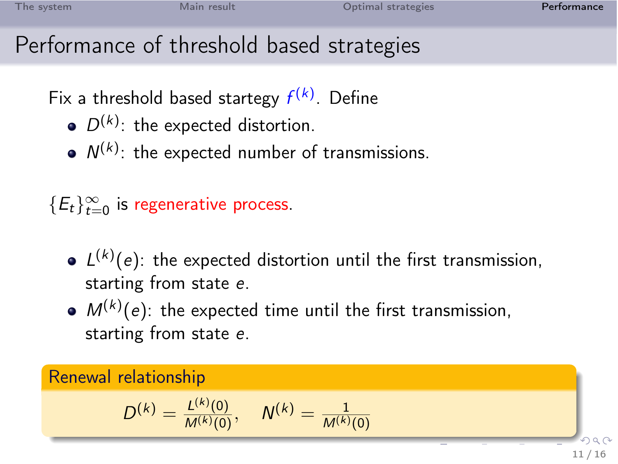<span id="page-26-0"></span>

# Performance of threshold based strategies

Fix a threshold based startegy  $f^{(k)}$ . Define

- $D^{(k)}$ : the expected distortion.
- $N^{(k)}$ : the expected number of transmissions.

 $\{E_t\}_{t=0}^\infty$  is regenerative process.

- $L^{(k)}(e)$ : the expected distortion until the first transmission, starting from state e.
- $M^{(k)}(e)$ : the expected time until the first transmission, starting from state e.

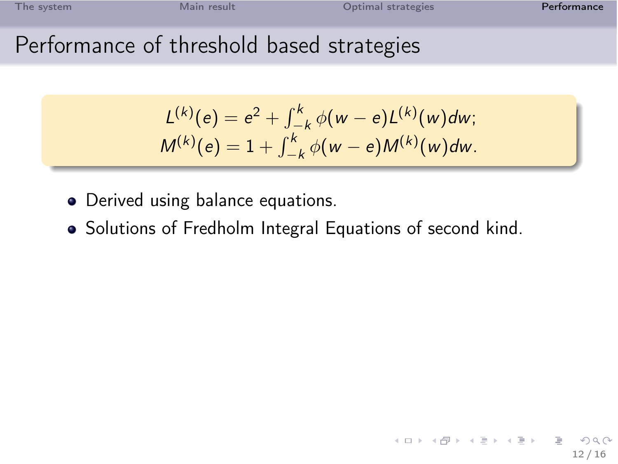# Performance of threshold based strategies

<span id="page-27-0"></span>
$$
L^{(k)}(e) = e^{2} + \int_{-k}^{k} \phi(w - e)L^{(k)}(w)dw;
$$
  

$$
M^{(k)}(e) = 1 + \int_{-k}^{k} \phi(w - e)M^{(k)}(w)dw.
$$

- Derived using balance equations.
- Solutions of Fredholm Integral Equations of second kind.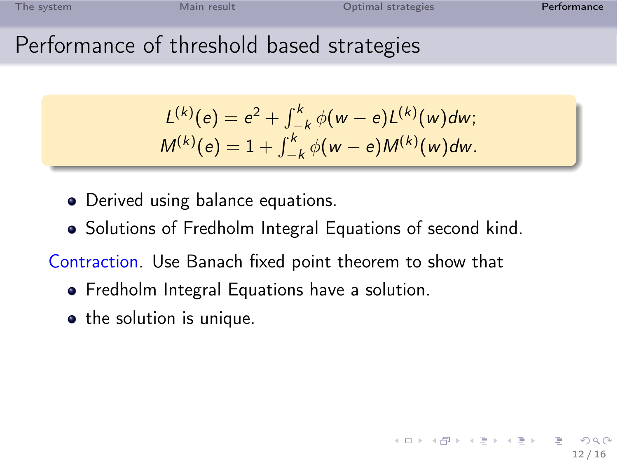12 / 16

K ロチ X 優 > X 평 > X 평 >

# Performance of threshold based strategies

$$
L^{(k)}(e) = e^{2} + \int_{-k}^{k} \phi(w - e)L^{(k)}(w)dw;
$$
  

$$
M^{(k)}(e) = 1 + \int_{-k}^{k} \phi(w - e)M^{(k)}(w)dw.
$$

- Derived using balance equations.
- Solutions of Fredholm Integral Equations of second kind.

Contraction. Use Banach fixed point theorem to show that

- **•** Fredholm Integral Equations have a solution.
- the solution is unique.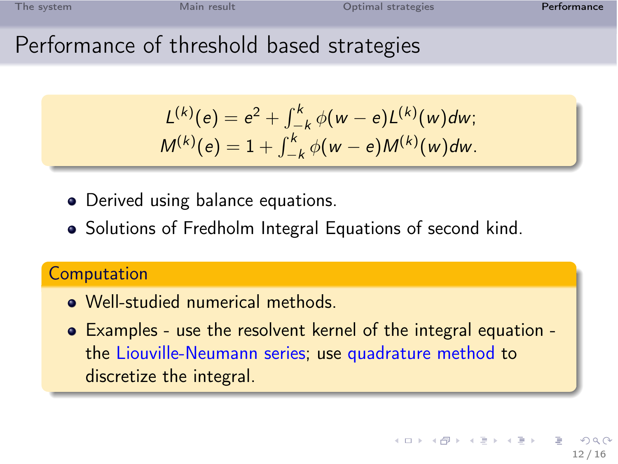# Performance of threshold based strategies

$$
L^{(k)}(e) = e^{2} + \int_{-k}^{k} \phi(w - e)L^{(k)}(w)dw;
$$
  

$$
M^{(k)}(e) = 1 + \int_{-k}^{k} \phi(w - e)M^{(k)}(w)dw.
$$

- Derived using balance equations.
- Solutions of Fredholm Integral Equations of second kind.

### **Computation**

- Well-studied numerical methods.
- Examples use the resolvent kernel of the integral equation the Liouville-Neumann series; use quadrature method to discretize the integral.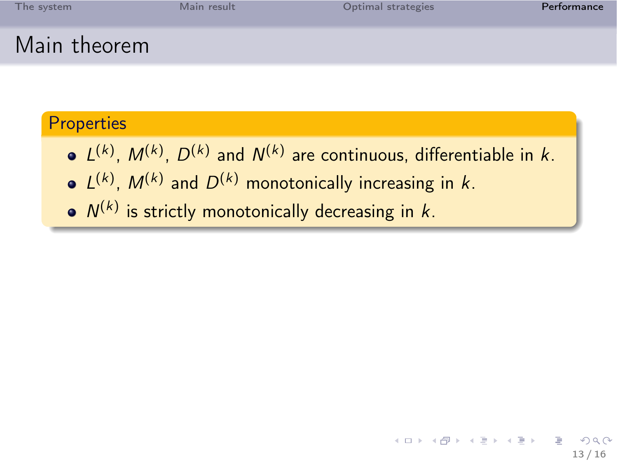| The system   | Main result | Optimal strategies | Performance |
|--------------|-------------|--------------------|-------------|
| Main theorem |             |                    |             |

### **Properties**

- $L^{(k)}$ ,  $M^{(k)}$ ,  $D^{(k)}$  and  $N^{(k)}$  are continuous, differentiable in k.
- $L^{(k)}$ ,  $M^{(k)}$  and  $D^{(k)}$  monotonically increasing in k.
- $N^{(k)}$  is strictly monotonically decreasing in k.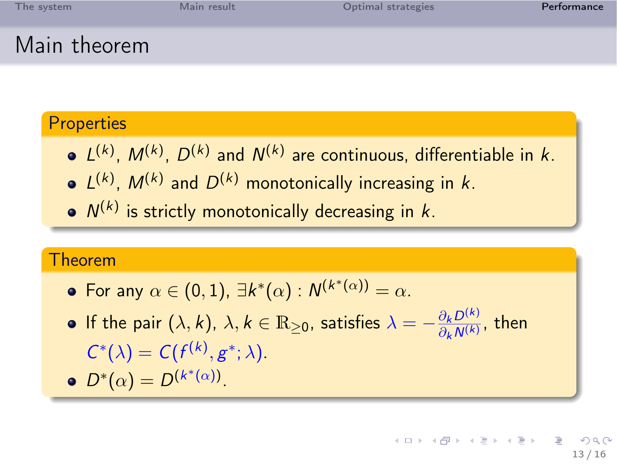| The system   | Main result | Optimal strategies | Performance |
|--------------|-------------|--------------------|-------------|
| Main theorem |             |                    |             |

#### **Properties**

- $L^{(k)}$ ,  $M^{(k)}$ ,  $D^{(k)}$  and  $N^{(k)}$  are continuous, differentiable in k.
- $L^{(k)}$ ,  $M^{(k)}$  and  $D^{(k)}$  monotonically increasing in k.
- $N^{(k)}$  is strictly monotonically decreasing in k.

#### Theorem

- For any  $\alpha \in (0,1)$ ,  $\exists k^*(\alpha) : N^{(k^*(\alpha))} = \alpha$ .
- If the pair  $(\lambda, k)$ ,  $\lambda, k \in \mathbb{R}_{\geq 0}$ , satisfies  $\lambda = -\frac{\partial_k D^{(k)}}{\partial_k N^{(k)}}$  $\frac{O_k D^{(k)}}{O_k N^{(k)}}$ , then  $C^*(\lambda) = C(f^{(k)}, g^*; \lambda).$

$$
\bullet \ D^*(\alpha) = D^{(k^*(\alpha))}.
$$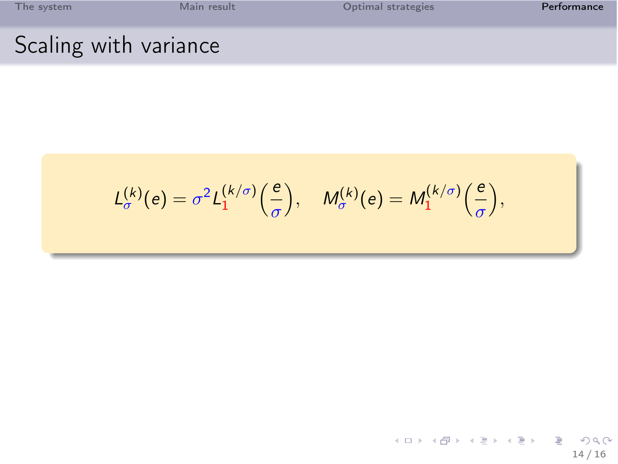|  | The system |  |  |  |
|--|------------|--|--|--|
|  |            |  |  |  |

[Main result](#page-9-0) **The System Main result** [Optimal strategies](#page-20-0) **[Performance](#page-22-0)** 

## Scaling with variance

$$
L_{\sigma}^{(k)}(e) = \sigma^2 L_1^{(k/\sigma)}\left(\frac{e}{\sigma}\right), \quad M_{\sigma}^{(k)}(e) = M_1^{(k/\sigma)}\left(\frac{e}{\sigma}\right),
$$

イロメ イ団メ イモメ イモメー 重  $299$ 14 / 16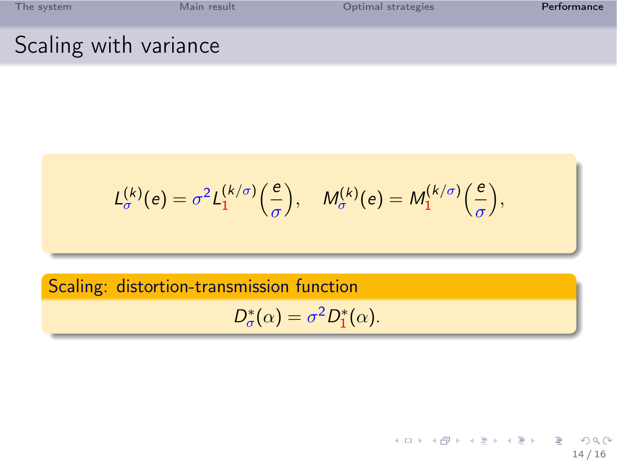[The system](#page-3-0) **Solution Contract Contract Contract Contract Contract Contract Contract Contract Contract Contract Contract Contract Contract Contract Contract Contract Contract Contract Contract Contract Contract Contract Con** Scaling with variance

$$
L_{\sigma}^{(k)}(e) = \sigma^2 L_1^{(k/\sigma)}\left(\frac{e}{\sigma}\right), \quad M_{\sigma}^{(k)}(e) = M_1^{(k/\sigma)}\left(\frac{e}{\sigma}\right)
$$

### Scaling: distortion-transmission function

$$
D_{\sigma}^*(\alpha) = \sigma^2 D_1^*(\alpha).
$$

イロト イ部ト イミト イモト E  $2Q$ 14 / 16

,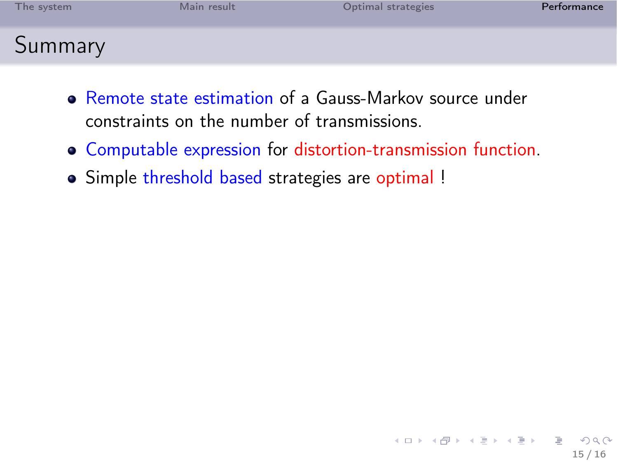| The svstem | Main result | Optimal strategies | Performance |
|------------|-------------|--------------------|-------------|
| Summary    |             |                    |             |

- Remote state estimation of a Gauss-Markov source under constraints on the number of transmissions.
- Computable expression for distortion-transmission function.
- Simple threshold based strategies are optimal !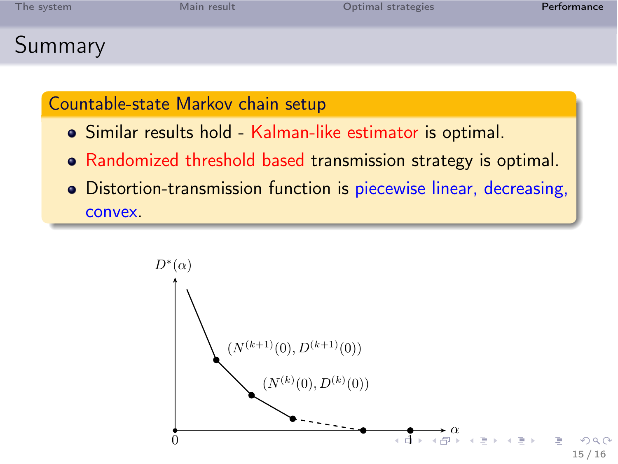| The system | Main result | Optimal strategies | Performance |
|------------|-------------|--------------------|-------------|
| Summary    |             |                    |             |

#### Countable-state Markov chain setup

- Similar results hold Kalman-like estimator is optimal.
- Randomized threshold based transmission strategy is optimal.
- Distortion-transmission function is piecewise linear, decreasing, convex.

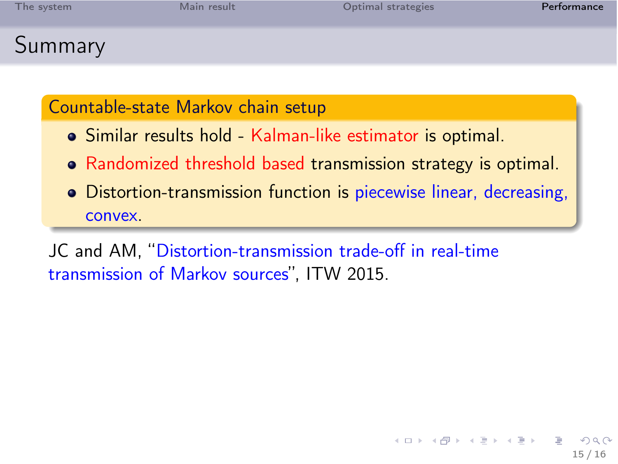| The system | Main result | Optimal strategies | Performance |
|------------|-------------|--------------------|-------------|
| Summary    |             |                    |             |

#### Countable-state Markov chain setup

- Similar results hold Kalman-like estimator is optimal.
- Randomized threshold based transmission strategy is optimal.
- Distortion-transmission function is piecewise linear, decreasing, convex.

<span id="page-36-0"></span>JC and AM, "Distortion-transmission trade-off in real-time transmission of Markov sources", ITW 2015.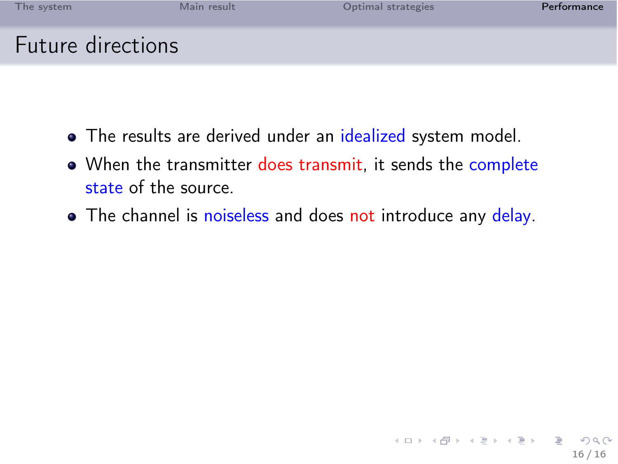| The system        | Main result | Optimal strategies | Performance |
|-------------------|-------------|--------------------|-------------|
| Future directions |             |                    |             |

- The results are derived under an idealized system model.
- When the transmitter does transmit, it sends the complete state of the source.
- <span id="page-37-0"></span>• The channel is noiseless and does not introduce any delay.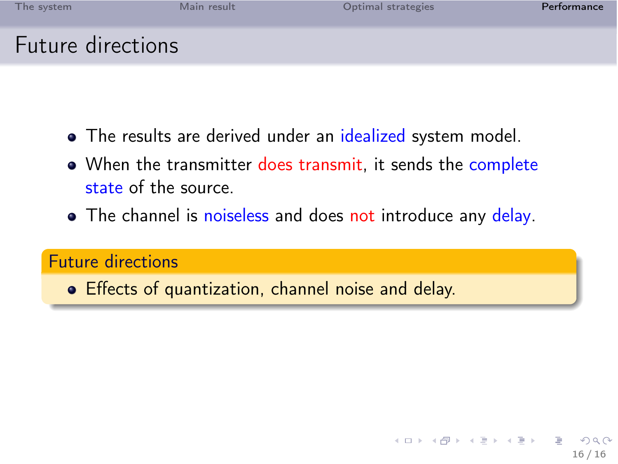| The system        | Main result | Optimal strategies | Performance |
|-------------------|-------------|--------------------|-------------|
| Future directions |             |                    |             |

- The results are derived under an idealized system model.
- When the transmitter does transmit, it sends the complete state of the source.
- The channel is noiseless and does not introduce any delay.

#### Future directions

Effects of quantization, channel noise and delay.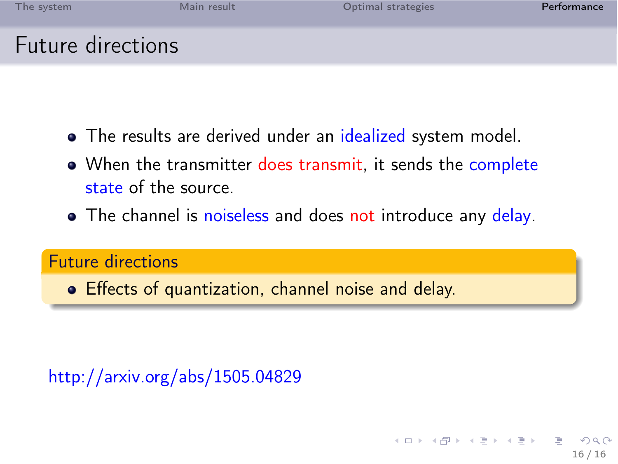| The system        | Main result | Optimal strategies | Performance |
|-------------------|-------------|--------------------|-------------|
| Future directions |             |                    |             |

- The results are derived under an idealized system model.
- When the transmitter does transmit, it sends the complete state of the source.
- The channel is noiseless and does not introduce any delay.

#### Future directions

Effects of quantization, channel noise and delay.

http://arxiv.org/abs/1505.04829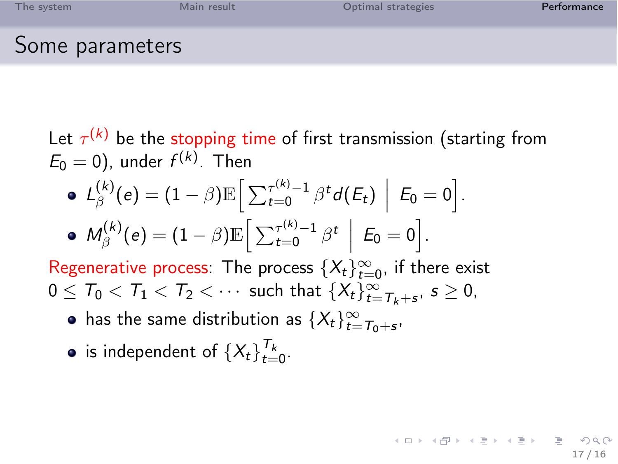| The system      | Main result | Optimal strategies | Performance |
|-----------------|-------------|--------------------|-------------|
| Some parameters |             |                    |             |

Let  $\tau^{(k)}$  be the stopping time of first transmission (starting from  $E_0 = 0$ ), under  $f^{(k)}$ . Then

17 / 16

K ロ X K @ X K 경 X X 경 X X 경

\n- \n
$$
L_{\beta}^{(k)}(e) = (1 - \beta) \mathbb{E} \left[ \sum_{t=0}^{\tau^{(k)}-1} \beta^t d(E_t) \middle| E_0 = 0 \right].
$$
\n
\n- \n
$$
M_{\beta}^{(k)}(e) = (1 - \beta) \mathbb{E} \left[ \sum_{t=0}^{\tau^{(k)}-1} \beta^t \middle| E_0 = 0 \right].
$$
\n
\n

Regenerative process: The process  $\{X_t\}_{t=0}^\infty$ , if there exist  $0\leq \mathcal{T}_0 < \mathcal{T}_1 < \mathcal{T}_2 < \cdots$  such that  $\{X_t\}_{t=\mathcal{T}_k+s}^\infty, \ s\geq 0,$ 

- has the same distribution as  $\{X_t\}_{t=T_0+s}^\infty$ ,
- is independent of  $\{X_t\}_{t=1}^{\mathcal{T}_k}$  $t=0$ .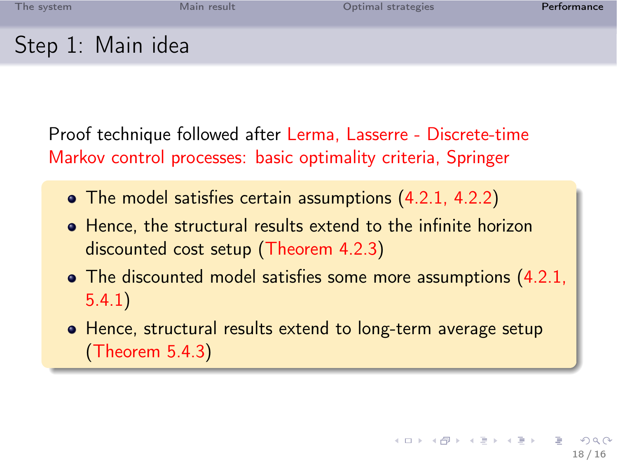## Step 1: Main idea

Proof technique followed after Lerma, Lasserre - Discrete-time Markov control processes: basic optimality criteria, Springer

- The model satisfies certain assumptions (4.2.1, 4.2.2)
- Hence, the structural results extend to the infinite horizon discounted cost setup (Theorem 4.2.3)
- The discounted model satisfies some more assumptions (4.2.1, 5.4.1)
- Hence, structural results extend to long-term average setup (Theorem 5.4.3)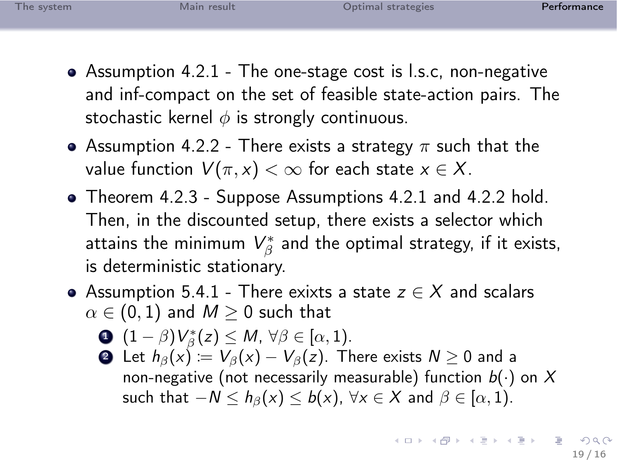- Assumption 4.2.1 The one-stage cost is l.s.c, non-negative and inf-compact on the set of feasible state-action pairs. The stochastic kernel  $\phi$  is strongly continuous.
- Assumption 4.2.2 There exists a strategy  $\pi$  such that the value function  $V(\pi, x) < \infty$  for each state  $x \in X$ .
- Theorem 4.2.3 Suppose Assumptions 4.2.1 and 4.2.2 hold. Then, in the discounted setup, there exists a selector which attains the minimum  $\mathcal{V}_\beta^*$  and the optimal strategy, if it exists, is deterministic stationary.
- Assumption 5.4.1 There exixts a state  $z \in X$  and scalars  $\alpha \in (0,1)$  and  $M \geq 0$  such that

$$
\mathbf{O}((1-\beta)V_{\beta}^*(z)\leq M,\,\forall \beta\in[\alpha,1).
$$

**②** Let  $h_\beta(x) := V_\beta(x) - V_\beta(z)$ . There exists  $N \geq 0$  and a non-negative (not necessarily measurable) function  $b(\cdot)$  on X such that  $-N \leq h_{\beta}(x) \leq b(x)$ ,  $\forall x \in X$  and  $\beta \in [\alpha, 1)$ .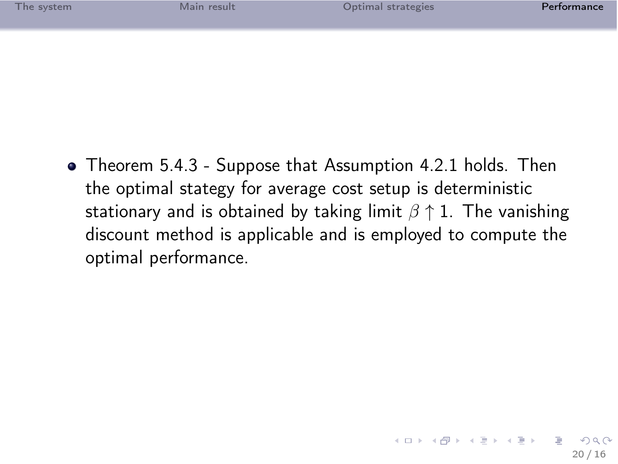| The system | Main result | Optimal strategies | Performance |
|------------|-------------|--------------------|-------------|
|            |             |                    |             |

<span id="page-43-0"></span>Theorem 5.4.3 - Suppose that Assumption 4.2.1 holds. Then the optimal stategy for average cost setup is deterministic stationary and is obtained by taking limit  $\beta \uparrow 1$ . The vanishing discount method is applicable and is employed to compute the optimal performance.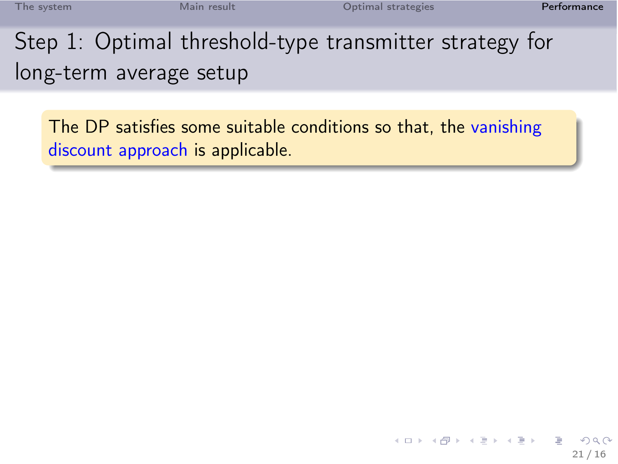<span id="page-44-0"></span>21 / 16

 $\Omega$ 

**K ロ ト イ 部 ト イ ミ ト イ ミ ト** 

Step 1: Optimal threshold-type transmitter strategy for long-term average setup

The DP satisfies some suitable conditions so that, the vanishing discount approach is applicable.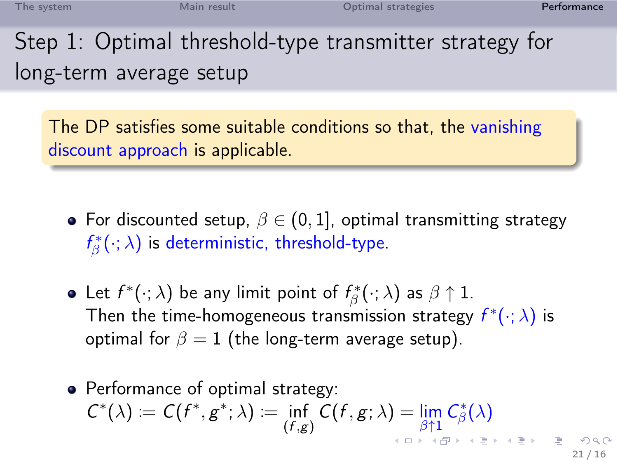Step 1: Optimal threshold-type transmitter strategy for long-term average setup

The DP satisfies some suitable conditions so that, the vanishing discount approach is applicable.

- For discounted setup,  $\beta \in (0,1]$ , optimal transmitting strategy  $f^*_\beta(\cdot; \lambda)$  is deterministic, threshold-type.
- Let  $f^*(\cdot; \lambda)$  be any limit point of  $f^*_{\beta}(\cdot; \lambda)$  as  $\beta \uparrow 1$ . Then the time-homogeneous transmission strategy  $f^*(\cdot; \lambda)$  is optimal for  $\beta = 1$  (the long-term average setup).
- Performance of optimal strategy:  $C^*(\lambda) := C(f^*, g^*; \lambda) := \inf_{(f,g)} C(f,g; \lambda) = \lim_{\beta \uparrow 1} C^*_{\beta}(\lambda)$  $C^*(\lambda) := C(f^*, g^*; \lambda) := \inf_{(f,g)} C(f,g; \lambda) = \lim_{\beta \uparrow 1} C^*_{\beta}(\lambda)$  $C^*(\lambda) := C(f^*, g^*; \lambda) := \inf_{(f,g)} C(f,g; \lambda) = \lim_{\beta \uparrow 1} C^*_{\beta}(\lambda)$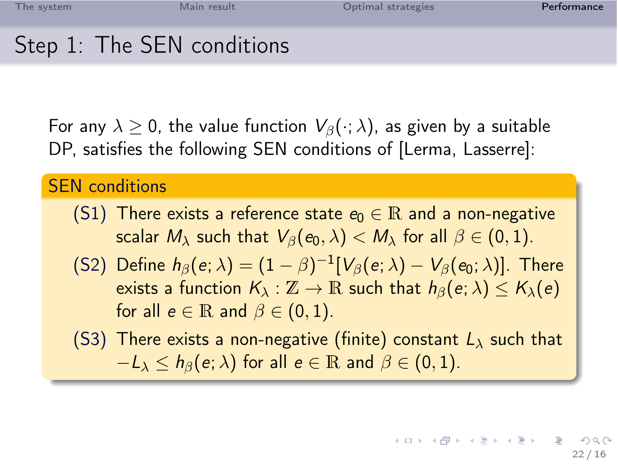# Step 1: The SEN conditions

For any  $\lambda \geq 0$ , the value function  $V_\beta(\cdot; \lambda)$ , as given by a suitable DP, satisfies the following SEN conditions of [Lerma, Lasserre]:

### SEN conditions

- (S1) There exists a reference state  $e_0 \in \mathbb{R}$  and a non-negative scalar  $M_{\lambda}$  such that  $V_{\beta}(e_0, \lambda) < M_{\lambda}$  for all  $\beta \in (0, 1)$ .
- (S2) Define  $h_\beta(e;\lambda)=(1-\beta)^{-1}[V_\beta(e;\lambda)-V_\beta(e_0;\lambda)].$  There exists a function  $K_{\lambda}: \mathbb{Z} \to \mathbb{R}$  such that  $h_{\beta}(e; \lambda) \leq K_{\lambda}(e)$ for all  $e \in \mathbb{R}$  and  $\beta \in (0,1)$ .
- <span id="page-46-0"></span>(S3) There exists a non-negative (finite) constant  $L_{\lambda}$  such that  $-L_\lambda \leq h_\beta(e; \lambda)$  for all  $e \in \mathbb{R}$  and  $\beta \in (0, 1)$ .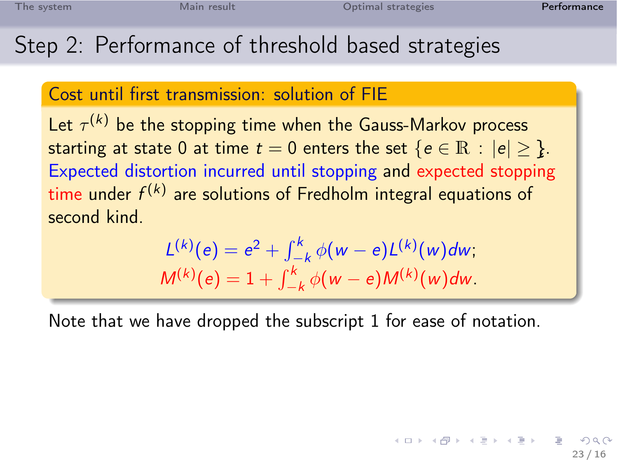## Step 2: Performance of threshold based strategies

### Cost until first transmission: solution of FIE

Let  $\tau^{(k)}$  be the stopping time when the Gauss-Markov process starting at state 0 at time  $t = 0$  enters the set  $\{e \in \mathbb{R} : |e| > \}$ . Expected distortion incurred until stopping and expected stopping time under  $f^{(k)}$  are solutions of Fredholm integral equations of second kind.

$$
L^{(k)}(e) = e^{2} + \int_{-k}^{k} \phi(w - e)L^{(k)}(w)dw,
$$
  

$$
M^{(k)}(e) = 1 + \int_{-k}^{k} \phi(w - e)M^{(k)}(w)dw.
$$

Note that we have dropped the subscript 1 for ease of notation.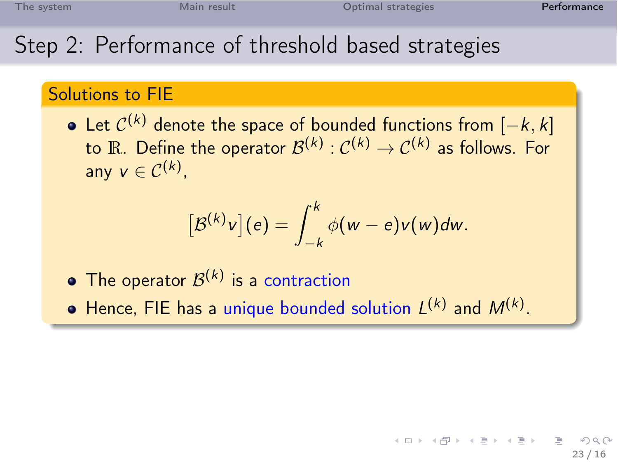### Step 2: Performance of threshold based strategies

### Solutions to FIE

Let  $\mathcal{C}^{(k)}$  denote the space of bounded functions from  $[-k,k]$ to  $\mathbb R$ . Define the operator  $\mathcal{B}^{(k)}: \mathcal{C}^{(k)} \to \mathcal{C}^{(k)}$  as follows. For any  $v \in C^{(k)}$ ,

$$
[\mathcal{B}^{(k)}v](e)=\int_{-k}^{k}\phi(w-e)v(w)dw.
$$

- The operator  $\mathcal{B}^{(k)}$  is a contraction
- Hence, FIE has a unique bounded solution  $L^{(k)}$  and  $M^{(k)}$ .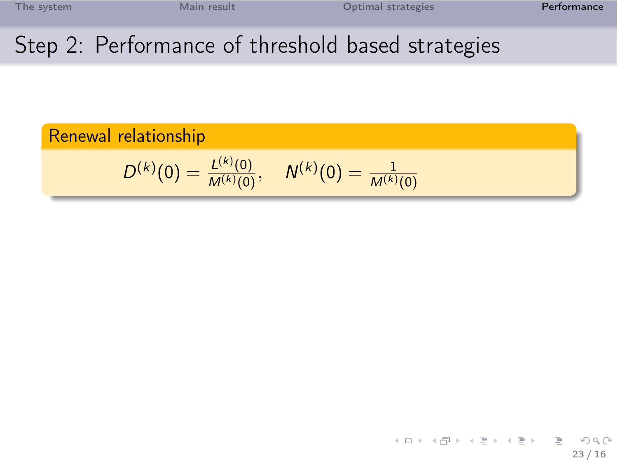23 / 16

э

 $2Q$ 

メロト メ部 トメ ミトメ ミト

### Step 2: Performance of threshold based strategies

Renewal relationship  
\n
$$
D^{(k)}(0) = \frac{L^{(k)}(0)}{M^{(k)}(0)}, \quad N^{(k)}(0) = \frac{1}{M^{(k)}(0)}
$$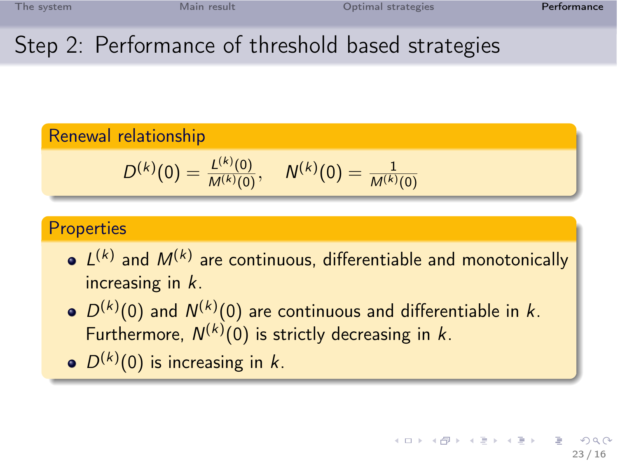### Step 2: Performance of threshold based strategies

#### Renewal relationship

$$
D^{(k)}(0) = \frac{L^{(k)}(0)}{M^{(k)}(0)}, \quad N^{(k)}(0) = \frac{1}{M^{(k)}(0)}
$$

#### **Properties**

- $L^{(k)}$  and  $M^{(k)}$  are continuous, differentiable and monotonically increasing in k.
- $D^{(k)}(0)$  and  $N^{(k)}(0)$  are continuous and differentiable in k. Furthermore,  $N^{(k)}(0)$  is strictly decreasing in k.
- $D^{(k)}(0)$  is increasing in k.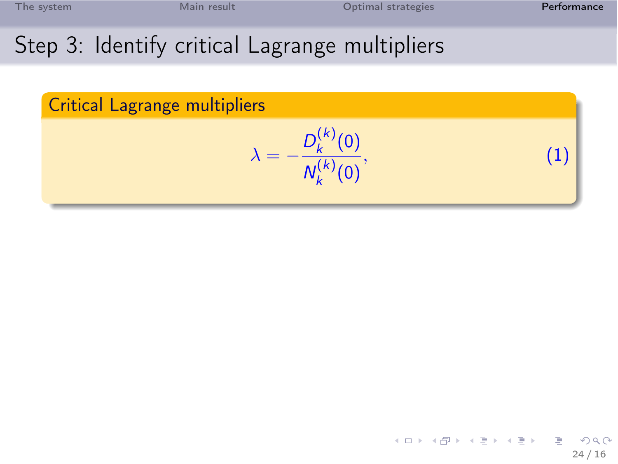|  | The system |  |  |  |
|--|------------|--|--|--|
|  |            |  |  |  |

# Step 3: Identify critical Lagrange multipliers

<span id="page-51-0"></span>

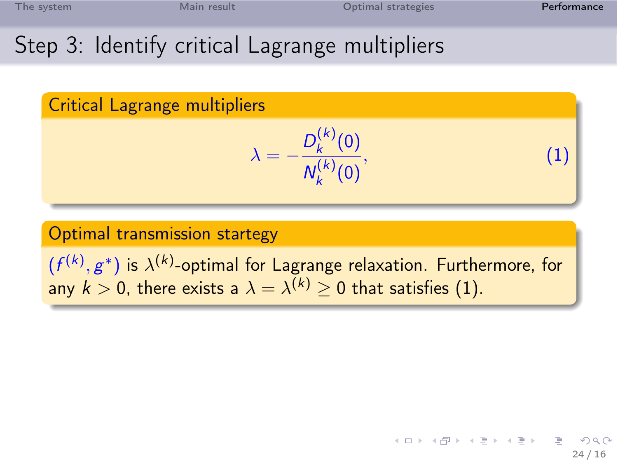| The system |  |  |  |  |  |
|------------|--|--|--|--|--|
|            |  |  |  |  |  |

# Step 3: Identify critical Lagrange multipliers

Critical Lagrange multipliers

$$
\lambda = -\frac{D_k^{(k)}(0)}{N_k^{(k)}(0)},\tag{1}
$$

Optimal transmission startegy

 $(f^{(k)}, g^{\ast})$  is  $\lambda^{(k)}$ -optimal for Lagrange relaxation. Furthermore, for any  $k>0$ , there exists a  $\lambda=\lambda^{(k)}\geq 0$  that satisfies [\(1\)](#page-51-0).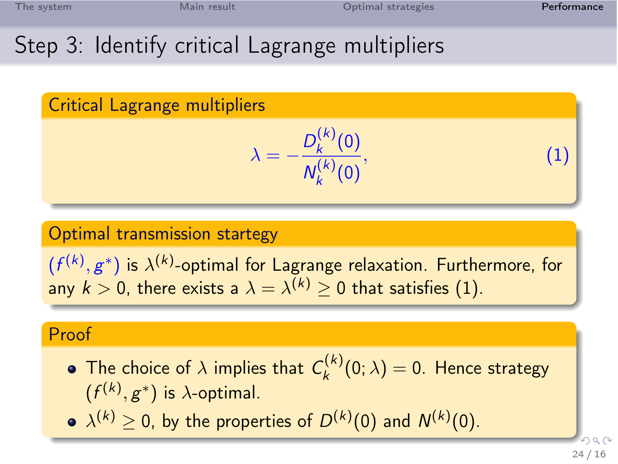|  | The system |  |  |  |
|--|------------|--|--|--|
|  |            |  |  |  |
|  |            |  |  |  |

# Step 3: Identify critical Lagrange multipliers

Critical Lagrange multipliers

$$
\lambda = -\frac{D_k^{(k)}(0)}{N_k^{(k)}(0)},\tag{1}
$$

#### Optimal transmission startegy

 $(f^{(k)}, g^{\ast})$  is  $\lambda^{(k)}$ -optimal for Lagrange relaxation. Furthermore, for any  $k>0$ , there exists a  $\lambda=\lambda^{(k)}\geq 0$  that satisfies [\(1\)](#page-51-0).

### Proof

- The choice of  $\lambda$  implies that  $\mathcal{C}_k^{(k)}$  $\binom{(\kappa)}{k}(0;\lambda)=0.$  Hence strategy  $(f^{(k)}, g^*)$  is  $\lambda$ -optimal.
- $\lambda^{(k)} \geq 0$ , by the properties of  $D^{(k)}(0)$  and  $N^{(k)}(0)$ .

 $\Omega$ 24 / 16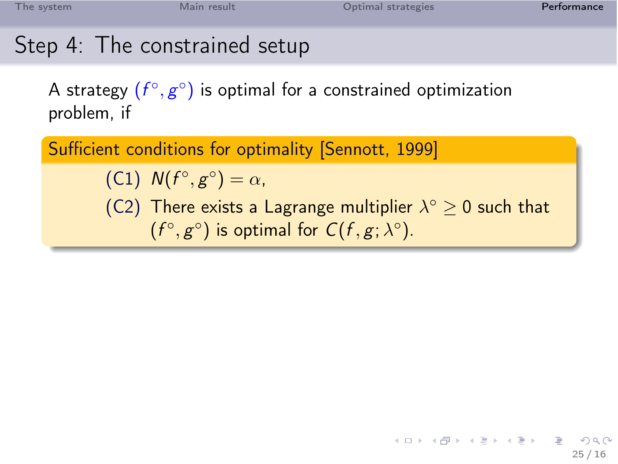|  | The svstem |  |  |  |
|--|------------|--|--|--|
|  |            |  |  |  |

# Step 4: The constrained setup

A strategy  $(f^{\circ}, g^{\circ})$  is optimal for a constrained optimization problem, if

Sufficient conditions for optimality [Sennott, 1999]

(C1)  $N(f^{\circ}, g^{\circ}) = \alpha$ ,

(C2) There exists a Lagrange multiplier  $\lambda^{\circ} \geq 0$  such that  $(f^{\circ}, g^{\circ})$  is optimal for  $C(f, g; \lambda^{\circ})$ .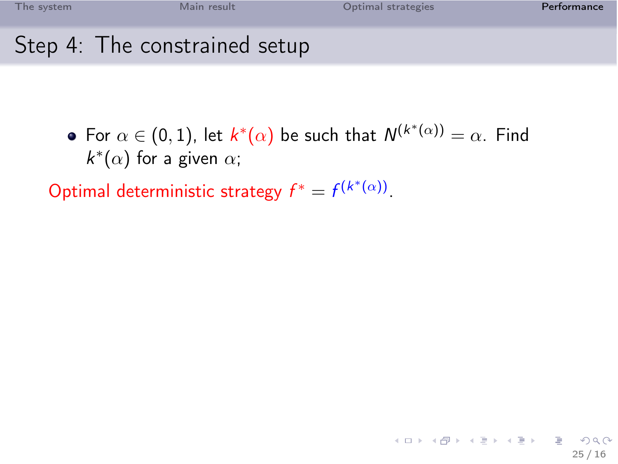| The system | Main result                   | Optimal strategies | Performance |
|------------|-------------------------------|--------------------|-------------|
|            | Step 4: The constrained setup |                    |             |

For  $\alpha\in(0,1)$ , let  $k^*(\alpha)$  be such that  $\mathcal{N}^{(k^*(\alpha))}=\alpha.$  Find  $k^*(\alpha)$  for a given  $\alpha$ ;

Optimal deterministic strategy  $f^* = f^{(k^*(\alpha))}$ .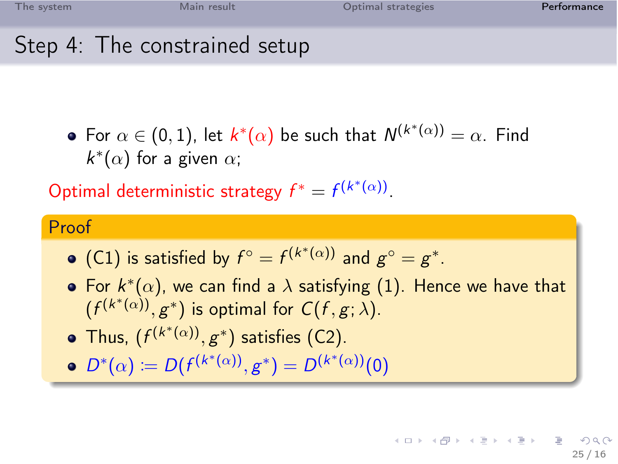| The system | Main result                   | Optimal strategies | Performance |
|------------|-------------------------------|--------------------|-------------|
|            | Step 4: The constrained setup |                    |             |

For  $\alpha\in(0,1)$ , let  $k^*(\alpha)$  be such that  $\mathcal{N}^{(k^*(\alpha))}=\alpha.$  Find  $k^*(\alpha)$  for a given  $\alpha$ ;

Optimal deterministic strategy  $f^* = f^{(k^*(\alpha))}$ .

#### Proof

- (C1) is satisfied by  $f^{\circ} = f^{(k^*(\alpha))}$  and  $g^{\circ} = g^*$ .
- For  $k^*(\alpha)$ , we can find a  $\lambda$  satisfying [\(1\)](#page-51-0). Hence we have that  $(f^{(k^*(\alpha))}, g^*)$  is optimal for  $C(f, g; \lambda)$ .
- Thus,  $(f^{(k^*(\alpha))}, g^*)$  satisfies (C2).
- $D^*(\alpha) := D(f^{(k^*(\alpha))}, g^*) = D^{(k^*(\alpha))}(0)$